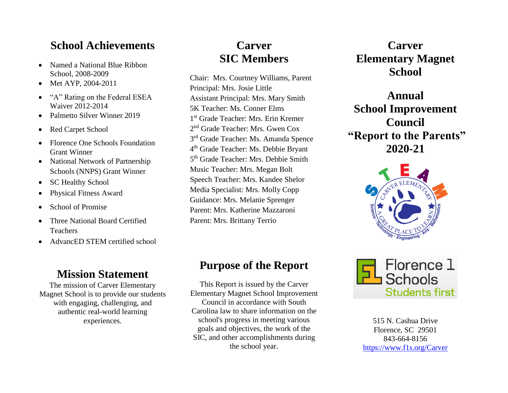#### **School Achievements**

- Named a National Blue Ribbon School, 2008-2009
- Met AYP, 2004-2011
- "A" Rating on the Federal ESEA Waiver 2012-2014
- Palmetto Silver Winner 2019
- Red Carpet School
- Florence One Schools Foundation Grant Winner
- National Network of Partnership Schools (NNPS) Grant Winner
- SC Healthy School
- Physical Fitness Award
- School of Promise
- Three National Board Certified Teachers
- AdvancED STEM certified school

#### **Mission Statement**

The mission of Carver Elementary Magnet School is to provide our students with engaging, challenging, and authentic real-world learning experiences.

# **Carver SIC Members**

Chair: Mrs. Courtney Williams, Parent Principal: Mrs. Josie Little Assistant Principal: Mrs. Mary Smith 5K Teacher: Ms. Conner Elms 1 st Grade Teacher: Mrs. Erin Kremer 2<sup>nd</sup> Grade Teacher: Mrs. Gwen Cox 3<sup>rd</sup> Grade Teacher: Ms. Amanda Spence 4<sup>th</sup> Grade Teacher: Ms. Debbie Bryant 5<sup>th</sup> Grade Teacher: Mrs. Debbie Smith Music Teacher: Mrs. Megan Bolt Speech Teacher: Mrs. Kandee Shelor Media Specialist: Mrs. Molly Copp Guidance: Mrs. Melanie Sprenger Parent: Mrs. Katherine Mazzaroni Parent: Mrs. Brittany Terrio

### **Purpose of the Report**

This Report is issued by the Carver Elementary Magnet School Improvement Council in accordance with South Carolina law to share information on the school's progress in meeting various goals and objectives, the work of the SIC, and other accomplishments during the school year.

**Carver Elementary Magnet School**

**Annual School Improvement Council "Report to the Parents" 2020-21**





515 N. Cashua Drive Florence, SC 29501 843-664-8156 <https://www.f1s.org/Carver>